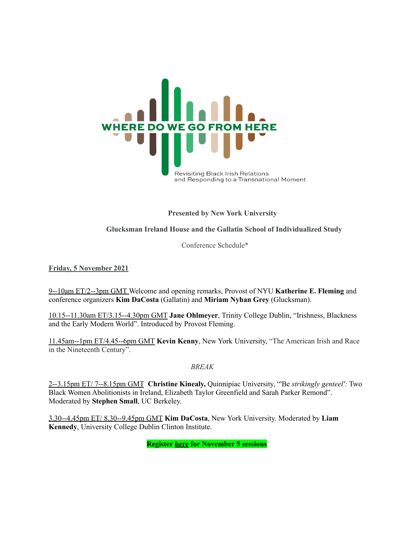

**Presented by New York University**

**Glucksman Ireland House and the Gallatin School of Individualized Study**

Conference Schedule\*

**Friday, 5 November 2021**

9--10am ET/2--3pm GMT Welcome and opening remarks, Provost of NYU **Katherine E. Fleming** and conference organizers **Kim DaCosta** (Gallatin) and **Miriam Nyhan Grey** (Glucksman).

10.15--11.30am ET/3.15--4.30pm GMT **Jane Ohlmeyer**, Trinity College Dublin, "Irishness, Blackness and the Early Modern World". Introduced by Provost Fleming.

11.45am--1pm ET/4.45--6pm GMT **Kevin Kenny**, New York University, "The American Irish and Race in the Nineteenth Century".

*BREAK*

2--3.15pm ET/ 7--8.15pm GMT **Christine Kinealy,** Quinnipiac University, "'Be *strikingly genteel':* Two Black Women Abolitionists in Ireland, Elizabeth Taylor Greenfield and Sarah Parker Remond". Moderated by **Stephen Small**, UC Berkeley.

3.30--4.45pm ET/ 8.30--9.45pm GMT **Kim DaCosta**, New York University. Moderated by **Liam Kennedy**, University College Dublin Clinton Institute.

**Register [here](https://nyu.zoom.us/meeting/register/tJUlcuyprjgiE935msXs29rgO0KDJvNW8w8S) for November 5 sessions**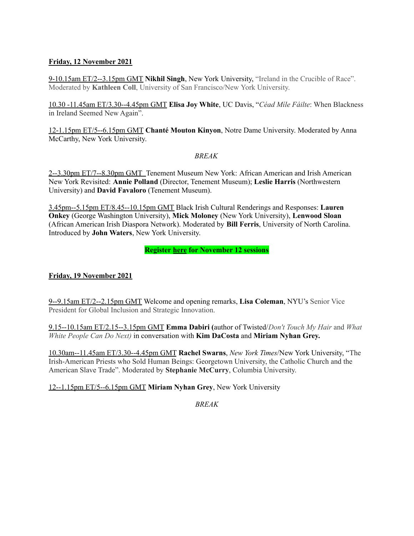### **Friday, 12 November 2021**

9-10.15am ET/2--3.15pm GMT **Nikhil Singh**, New York University, "Ireland in the Crucible of Race". Moderated by **Kathleen Coll**, University of San Francisco/New York University.

10.30 -11.45am ET/3.30--4.45pm GMT **Elisa Joy White**, UC Davis, "*Céad Míle Fáilte*: When Blackness in Ireland Seemed New Again".

12-1.15pm ET/5--6.15pm GMT **Chanté Mouton Kinyon**, Notre Dame University. Moderated by Anna McCarthy, New York University.

### *BREAK*

2--3.30pm ET/7--8.30pm GMT Tenement Museum New York: African American and Irish American New York Revisited: **Annie Polland** (Director, Tenement Museum); **Leslie Harris** (Northwestern University) and **David Favaloro** (Tenement Museum).

3.45pm--5.15pm ET/8.45--10.15pm GMT Black Irish Cultural Renderings and Responses: **Lauren Onkey** (George Washington University), **Mick Moloney** (New York University), **Lenwood Sloan** (African American Irish Diaspora Network). Moderated by **Bill Ferris**, University of North Carolina. Introduced by **John Waters**, New York University.

### **Register [here](https://nyu.zoom.us/meeting/register/tJUlcuyprjgiE935msXs29rgO0KDJvNW8w8S) for November 12 sessions**

# **Friday, 19 November 2021**

9--9.15am ET/2--2.15pm GMT Welcome and opening remarks, **Lisa Coleman**, NYU's Senior Vice President for Global Inclusion and Strategic Innovation.

9.15--10.15am ET/2.15--3.15pm GMT **Emma Dabiri (**author of Twisted/*Don't Touch My Hair* and *What White People Can Do Next)* in conversation with **Kim DaCosta** and **Miriam Nyhan Grey.**

10.30am--11.45am ET/3.30--4.45pm GMT **Rachel Swarns**, *New York Times*/New York University, "The Irish-American Priests who Sold Human Beings: Georgetown University, the Catholic Church and the American Slave Trade". Moderated by **Stephanie McCurry**, Columbia University.

# 12--1.15pm ET/5--6.15pm GMT **Miriam Nyhan Grey**, New York University

*BREAK*